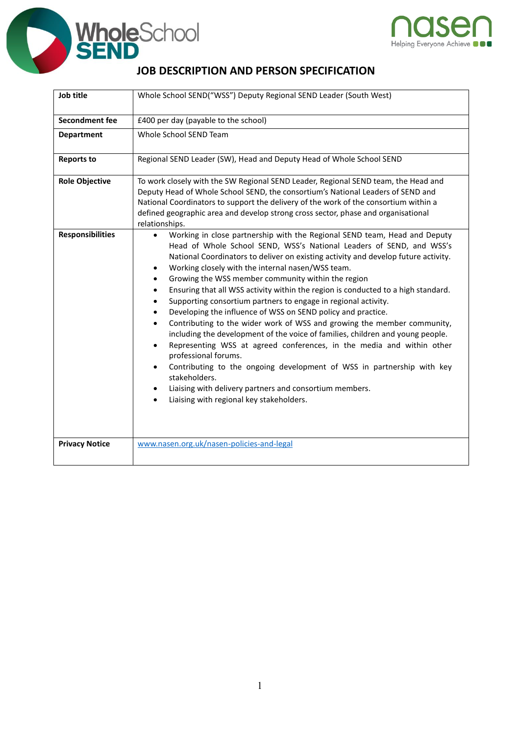



## **JOB DESCRIPTION AND PERSON SPECIFICATION**

| Job title               | Whole School SEND("WSS") Deputy Regional SEND Leader (South West)                                                                                                                                                                                                                                                                                                                                                                                                                                                                                                                                                                                                                                                                                                                                                                                                                                                                                                                                                                                                                                                       |
|-------------------------|-------------------------------------------------------------------------------------------------------------------------------------------------------------------------------------------------------------------------------------------------------------------------------------------------------------------------------------------------------------------------------------------------------------------------------------------------------------------------------------------------------------------------------------------------------------------------------------------------------------------------------------------------------------------------------------------------------------------------------------------------------------------------------------------------------------------------------------------------------------------------------------------------------------------------------------------------------------------------------------------------------------------------------------------------------------------------------------------------------------------------|
| Secondment fee          | £400 per day (payable to the school)                                                                                                                                                                                                                                                                                                                                                                                                                                                                                                                                                                                                                                                                                                                                                                                                                                                                                                                                                                                                                                                                                    |
| <b>Department</b>       | Whole School SEND Team                                                                                                                                                                                                                                                                                                                                                                                                                                                                                                                                                                                                                                                                                                                                                                                                                                                                                                                                                                                                                                                                                                  |
| <b>Reports to</b>       | Regional SEND Leader (SW), Head and Deputy Head of Whole School SEND                                                                                                                                                                                                                                                                                                                                                                                                                                                                                                                                                                                                                                                                                                                                                                                                                                                                                                                                                                                                                                                    |
| <b>Role Objective</b>   | To work closely with the SW Regional SEND Leader, Regional SEND team, the Head and<br>Deputy Head of Whole School SEND, the consortium's National Leaders of SEND and<br>National Coordinators to support the delivery of the work of the consortium within a<br>defined geographic area and develop strong cross sector, phase and organisational<br>relationships.                                                                                                                                                                                                                                                                                                                                                                                                                                                                                                                                                                                                                                                                                                                                                    |
| <b>Responsibilities</b> | Working in close partnership with the Regional SEND team, Head and Deputy<br>$\bullet$<br>Head of Whole School SEND, WSS's National Leaders of SEND, and WSS's<br>National Coordinators to deliver on existing activity and develop future activity.<br>Working closely with the internal nasen/WSS team.<br>$\bullet$<br>Growing the WSS member community within the region<br>Ensuring that all WSS activity within the region is conducted to a high standard.<br>$\bullet$<br>Supporting consortium partners to engage in regional activity.<br>$\bullet$<br>Developing the influence of WSS on SEND policy and practice.<br>Contributing to the wider work of WSS and growing the member community,<br>including the development of the voice of families, children and young people.<br>Representing WSS at agreed conferences, in the media and within other<br>$\bullet$<br>professional forums.<br>Contributing to the ongoing development of WSS in partnership with key<br>$\bullet$<br>stakeholders.<br>Liaising with delivery partners and consortium members.<br>Liaising with regional key stakeholders. |
| <b>Privacy Notice</b>   | www.nasen.org.uk/nasen-policies-and-legal                                                                                                                                                                                                                                                                                                                                                                                                                                                                                                                                                                                                                                                                                                                                                                                                                                                                                                                                                                                                                                                                               |